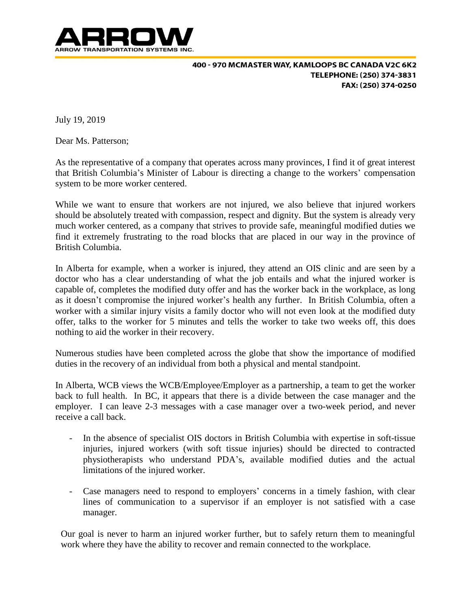

400 - 970 MCMASTER WAY, KAMLOOPS BC CANADA V2C 6K2 TELEPHONE: (250) 374-3831 FAX: (250) 374-0250

July 19, 2019

Dear Ms. Patterson;

As the representative of a company that operates across many provinces, I find it of great interest that British Columbia's Minister of Labour is directing a change to the workers' compensation system to be more worker centered.

While we want to ensure that workers are not injured, we also believe that injured workers should be absolutely treated with compassion, respect and dignity. But the system is already very much worker centered, as a company that strives to provide safe, meaningful modified duties we find it extremely frustrating to the road blocks that are placed in our way in the province of British Columbia.

In Alberta for example, when a worker is injured, they attend an OIS clinic and are seen by a doctor who has a clear understanding of what the job entails and what the injured worker is capable of, completes the modified duty offer and has the worker back in the workplace, as long as it doesn't compromise the injured worker's health any further. In British Columbia, often a worker with a similar injury visits a family doctor who will not even look at the modified duty offer, talks to the worker for 5 minutes and tells the worker to take two weeks off, this does nothing to aid the worker in their recovery.

Numerous studies have been completed across the globe that show the importance of modified duties in the recovery of an individual from both a physical and mental standpoint.

In Alberta, WCB views the WCB/Employee/Employer as a partnership, a team to get the worker back to full health. In BC, it appears that there is a divide between the case manager and the employer. I can leave 2-3 messages with a case manager over a two-week period, and never receive a call back.

- In the absence of specialist OIS doctors in British Columbia with expertise in soft-tissue injuries, injured workers (with soft tissue injuries) should be directed to contracted physiotherapists who understand PDA's, available modified duties and the actual limitations of the injured worker.
- Case managers need to respond to employers' concerns in a timely fashion, with clear lines of communication to a supervisor if an employer is not satisfied with a case manager.

Our goal is never to harm an injured worker further, but to safely return them to meaningful work where they have the ability to recover and remain connected to the workplace.